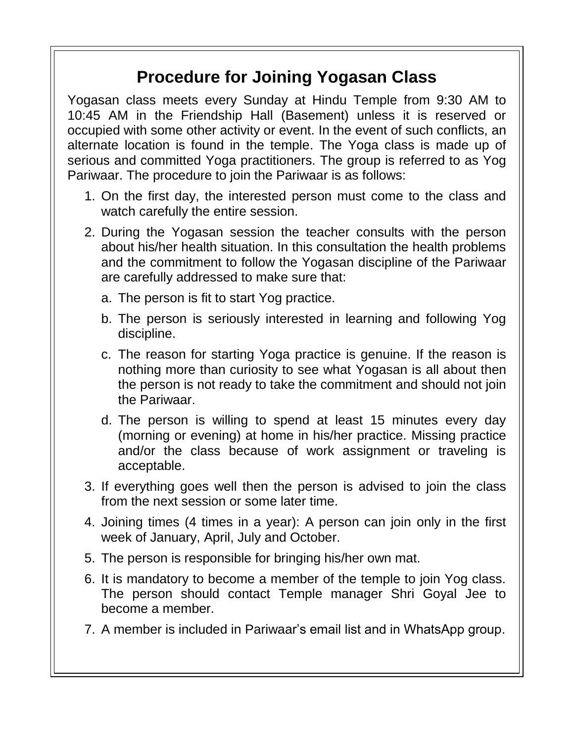## **Procedure for Joining Yogasan Class**

Yogasan class meets every Sunday at Hindu Temple from 9:30 AM to 10:45 AM in the Friendship Hall (Basement) unless it is reserved or occupied with some other activity or event. In the event of such conflicts, an alternate location is found in the temple. The Yoga class is made up of serious and committed Yoga practitioners. The group is referred to as Yog Pariwaar. The procedure to join the Pariwaar is as follows:

- 1. On the first day, the interested person must come to the class and watch carefully the entire session.
- 2. During the Yogasan session the teacher consults with the person about his/her health situation. In this consultation the health problems and the commitment to follow the Yogasan discipline of the Pariwaar are carefully addressed to make sure that:
	- a. The person is fit to start Yog practice.
	- b. The person is seriously interested in learning and following Yog discipline.
	- c. The reason for starting Yoga practice is genuine. If the reason is nothing more than curiosity to see what Yogasan is all about then the person is not ready to take the commitment and should not join the Pariwaar.
	- d. The person is willing to spend at least 15 minutes every day (morning or evening) at home in his/her practice. Missing practice and/or the class because of work assignment or traveling is acceptable.
- 3. If everything goes well then the person is advised to join the class from the next session or some later time.
- 4. Joining times (4 times in a year): A person can join only in the first week of January, April, July and October.
- 5. The person is responsible for bringing his/her own mat.
- 6. It is mandatory to become a member of the temple to join Yog class. The person should contact Temple manager Shri Goyal Jee to become a member.
- 7. A member is included in Pariwaar's email list and in WhatsApp group.